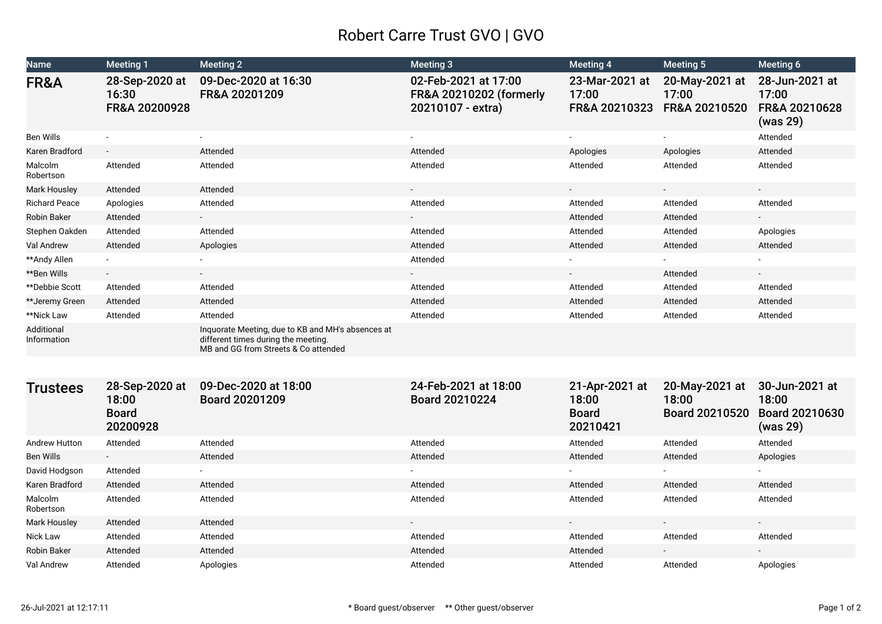## Robert Carre Trust GVO | GVO

| <b>Name</b>               | <b>Meeting 1</b>                                    | <b>Meeting 2</b>                                                                                                                 | <b>Meeting 3</b>                                                                | <b>Meeting 4</b>                                    | Meeting 5                                 | Meeting 6                                             |
|---------------------------|-----------------------------------------------------|----------------------------------------------------------------------------------------------------------------------------------|---------------------------------------------------------------------------------|-----------------------------------------------------|-------------------------------------------|-------------------------------------------------------|
| FR&A                      | 28-Sep-2020 at<br>16:30<br>FR&A 20200928            | 09-Dec-2020 at 16:30<br>FR&A 20201209                                                                                            | 02-Feb-2021 at 17:00<br><b>FR&amp;A 20210202 (formerly</b><br>20210107 - extra) | 23-Mar-2021 at<br>17:00<br>FR&A 20210323            | 20-May-2021 at<br>17:00<br>FR&A 20210520  | 28-Jun-2021 at<br>17:00<br>FR&A 20210628<br>(was 29)  |
| Ben Wills                 |                                                     |                                                                                                                                  |                                                                                 |                                                     |                                           | Attended                                              |
| Karen Bradford            | $\overline{\phantom{a}}$                            | Attended                                                                                                                         | Attended                                                                        | Apologies                                           | Apologies                                 | Attended                                              |
| Malcolm<br>Robertson      | Attended                                            | Attended                                                                                                                         | Attended                                                                        | Attended                                            | Attended                                  | Attended                                              |
| <b>Mark Housley</b>       | Attended                                            | Attended                                                                                                                         |                                                                                 |                                                     |                                           | $\sim$                                                |
| <b>Richard Peace</b>      | Apologies                                           | Attended                                                                                                                         | Attended                                                                        | Attended                                            | Attended                                  | Attended                                              |
| <b>Robin Baker</b>        | Attended                                            |                                                                                                                                  |                                                                                 | Attended                                            | Attended                                  |                                                       |
| Stephen Oakden            | Attended                                            | Attended                                                                                                                         | Attended                                                                        | Attended                                            | Attended                                  | Apologies                                             |
| Val Andrew                | Attended                                            | Apologies                                                                                                                        | Attended                                                                        | Attended                                            | Attended                                  | Attended                                              |
| **Andy Allen              |                                                     |                                                                                                                                  | Attended                                                                        |                                                     |                                           |                                                       |
| **Ben Wills               |                                                     | $\sim$                                                                                                                           | $\sim$                                                                          | $\sim$                                              | Attended                                  | $\sim$                                                |
| <b>**Debbie Scott</b>     | Attended                                            | Attended                                                                                                                         | Attended                                                                        | Attended                                            | Attended                                  | Attended                                              |
| **Jeremy Green            | Attended                                            | Attended                                                                                                                         | Attended                                                                        | Attended                                            | Attended                                  | Attended                                              |
| **Nick Law                | Attended                                            | Attended                                                                                                                         | Attended                                                                        | Attended                                            | Attended                                  | Attended                                              |
| Additional<br>Information |                                                     | Inquorate Meeting, due to KB and MH's absences at<br>different times during the meeting.<br>MB and GG from Streets & Co attended |                                                                                 |                                                     |                                           |                                                       |
|                           |                                                     |                                                                                                                                  |                                                                                 |                                                     |                                           |                                                       |
| <b>Trustees</b>           | 28-Sep-2020 at<br>18:00<br><b>Board</b><br>20200928 | 09-Dec-2020 at 18:00<br>Board 20201209                                                                                           | 24-Feb-2021 at 18:00<br>Board 20210224                                          | 21-Apr-2021 at<br>18:00<br><b>Board</b><br>20210421 | 20-May-2021 at<br>18:00<br>Board 20210520 | 30-Jun-2021 at<br>18:00<br>Board 20210630<br>(was 29) |
| Andrew Hutton             | Attended                                            | Attended                                                                                                                         | Attended                                                                        | Attended                                            | Attended                                  | Attended                                              |
| <b>Ben Wills</b>          |                                                     | Attended                                                                                                                         | Attended                                                                        | Attended                                            | Attended                                  | Apologies                                             |
| David Hodgson             | Attended                                            |                                                                                                                                  |                                                                                 |                                                     |                                           |                                                       |
| Karen Bradford            | Attended                                            | Attended                                                                                                                         | Attended                                                                        | Attended                                            | Attended                                  | Attended                                              |
| Malcolm<br>Robertson      | Attended                                            | Attended                                                                                                                         | Attended                                                                        | Attended                                            | Attended                                  | Attended                                              |
| <b>Mark Housley</b>       | Attended                                            | Attended                                                                                                                         | $\mathcal{L}^{\mathcal{L}}$                                                     | $\sim$                                              |                                           | $\sim$                                                |
| Nick Law                  | Attended                                            | Attended                                                                                                                         | Attended                                                                        | Attended                                            | Attended                                  | Attended                                              |
| <b>Robin Baker</b>        | Attended                                            | Attended                                                                                                                         | Attended                                                                        | Attended                                            |                                           |                                                       |
| Val Andrew                | Attended                                            | Apologies                                                                                                                        | Attended                                                                        | Attended                                            | Attended                                  | Apologies                                             |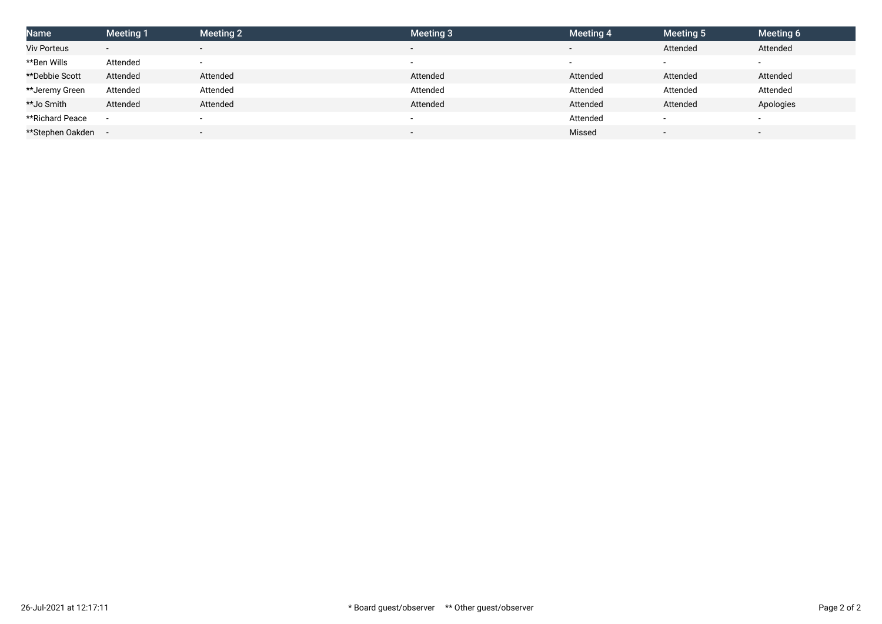| <b>Name</b>        | <b>Meeting 1</b>         | Meeting 2 | <b>Meeting 3</b>         | Meeting 4 | Meeting 5 | Meeting 6                |
|--------------------|--------------------------|-----------|--------------------------|-----------|-----------|--------------------------|
| <b>Viv Porteus</b> | $\overline{\phantom{a}}$ |           | $\overline{\phantom{a}}$ |           | Attended  | Attended                 |
| **Ben Wills        | Attended                 |           | $\overline{\phantom{a}}$ |           |           | $\overline{\phantom{0}}$ |
| **Debbie Scott     | Attended                 | Attended  | Attended                 | Attended  | Attended  | Attended                 |
| **Jeremy Green     | Attended                 | Attended  | Attended                 | Attended  | Attended  | Attended                 |
| **Jo Smith         | Attended                 | Attended  | Attended                 | Attended  | Attended  | Apologies                |
| **Richard Peace    | $\overline{\phantom{a}}$ |           | $\overline{\phantom{a}}$ | Attended  |           | $\overline{\phantom{0}}$ |
| **Stephen Oakden   |                          |           | $\overline{\phantom{0}}$ | Missed    |           | $\overline{\phantom{a}}$ |